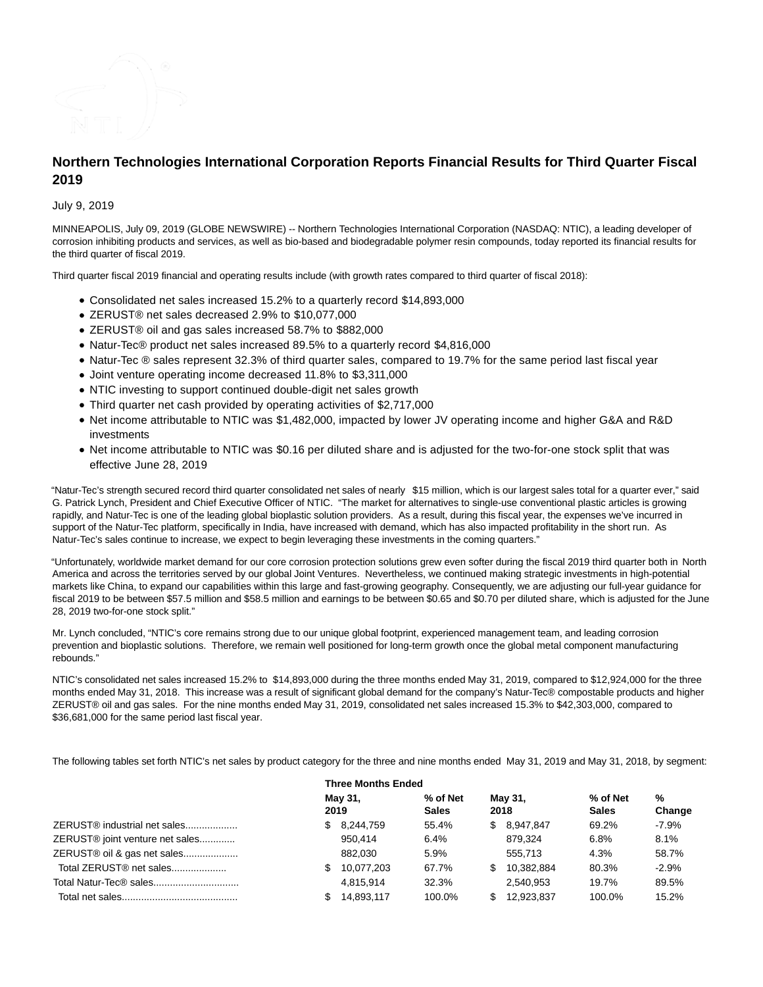

# **Northern Technologies International Corporation Reports Financial Results for Third Quarter Fiscal 2019**

July 9, 2019

MINNEAPOLIS, July 09, 2019 (GLOBE NEWSWIRE) -- Northern Technologies International Corporation (NASDAQ: NTIC), a leading developer of corrosion inhibiting products and services, as well as bio-based and biodegradable polymer resin compounds, today reported its financial results for the third quarter of fiscal 2019.

Third quarter fiscal 2019 financial and operating results include (with growth rates compared to third quarter of fiscal 2018):

- Consolidated net sales increased 15.2% to a quarterly record \$14,893,000
- ZERUST® net sales decreased 2.9% to \$10,077,000
- ZERUST® oil and gas sales increased 58.7% to \$882,000
- Natur-Tec® product net sales increased 89.5% to a quarterly record \$4,816,000
- Natur-Tec ® sales represent 32.3% of third quarter sales, compared to 19.7% for the same period last fiscal year
- Joint venture operating income decreased 11.8% to \$3,311,000
- NTIC investing to support continued double-digit net sales growth
- Third quarter net cash provided by operating activities of \$2,717,000
- Net income attributable to NTIC was \$1,482,000, impacted by lower JV operating income and higher G&A and R&D investments
- Net income attributable to NTIC was \$0.16 per diluted share and is adjusted for the two-for-one stock split that was effective June 28, 2019

"Natur-Tec's strength secured record third quarter consolidated net sales of nearly \$15 million, which is our largest sales total for a quarter ever," said G. Patrick Lynch, President and Chief Executive Officer of NTIC. "The market for alternatives to single-use conventional plastic articles is growing rapidly, and Natur-Tec is one of the leading global bioplastic solution providers. As a result, during this fiscal year, the expenses we've incurred in support of the Natur-Tec platform, specifically in India, have increased with demand, which has also impacted profitability in the short run. As Natur-Tec's sales continue to increase, we expect to begin leveraging these investments in the coming quarters."

"Unfortunately, worldwide market demand for our core corrosion protection solutions grew even softer during the fiscal 2019 third quarter both in North America and across the territories served by our global Joint Ventures. Nevertheless, we continued making strategic investments in high-potential markets like China, to expand our capabilities within this large and fast-growing geography. Consequently, we are adjusting our full-year guidance for fiscal 2019 to be between \$57.5 million and \$58.5 million and earnings to be between \$0.65 and \$0.70 per diluted share, which is adjusted for the June 28, 2019 two-for-one stock split."

Mr. Lynch concluded, "NTIC's core remains strong due to our unique global footprint, experienced management team, and leading corrosion prevention and bioplastic solutions. Therefore, we remain well positioned for long-term growth once the global metal component manufacturing rebounds."

NTIC's consolidated net sales increased 15.2% to \$14,893,000 during the three months ended May 31, 2019, compared to \$12,924,000 for the three months ended May 31, 2018. This increase was a result of significant global demand for the company's Natur-Tec® compostable products and higher ZERUST® oil and gas sales. For the nine months ended May 31, 2019, consolidated net sales increased 15.3% to \$42,303,000, compared to \$36,681,000 for the same period last fiscal year.

The following tables set forth NTIC's net sales by product category for the three and nine months ended May 31, 2019 and May 31, 2018, by segment:

|                                     | <b>Three Months Ended</b> |                          |                   |                          |             |  |
|-------------------------------------|---------------------------|--------------------------|-------------------|--------------------------|-------------|--|
|                                     | May 31,<br>2019           | % of Net<br><b>Sales</b> | May 31,<br>2018   | % of Net<br><b>Sales</b> | %<br>Change |  |
| ZERUST® industrial net sales<br>SS. | 8,244,759                 | 55.4%                    | 8,947,847<br>\$   | 69.2%                    | $-7.9%$     |  |
| ZERUST® joint venture net sales     | 950.414                   | 6.4%                     | 879.324           | 6.8%                     | 8.1%        |  |
| ZERUST® oil & gas net sales         | 882.030                   | 5.9%                     | 555.713           | 4.3%                     | 58.7%       |  |
| Total ZERUST® net sales             | 10.077.203                | 67.7%                    | 10.382.884<br>\$. | 80.3%                    | $-2.9%$     |  |
| Total Natur-Tec® sales              | 4.815.914                 | 32.3%                    | 2.540.953         | 19.7%                    | 89.5%       |  |
|                                     | 14,893,117                | 100.0%                   | 12,923,837<br>S.  | 100.0%                   | 15.2%       |  |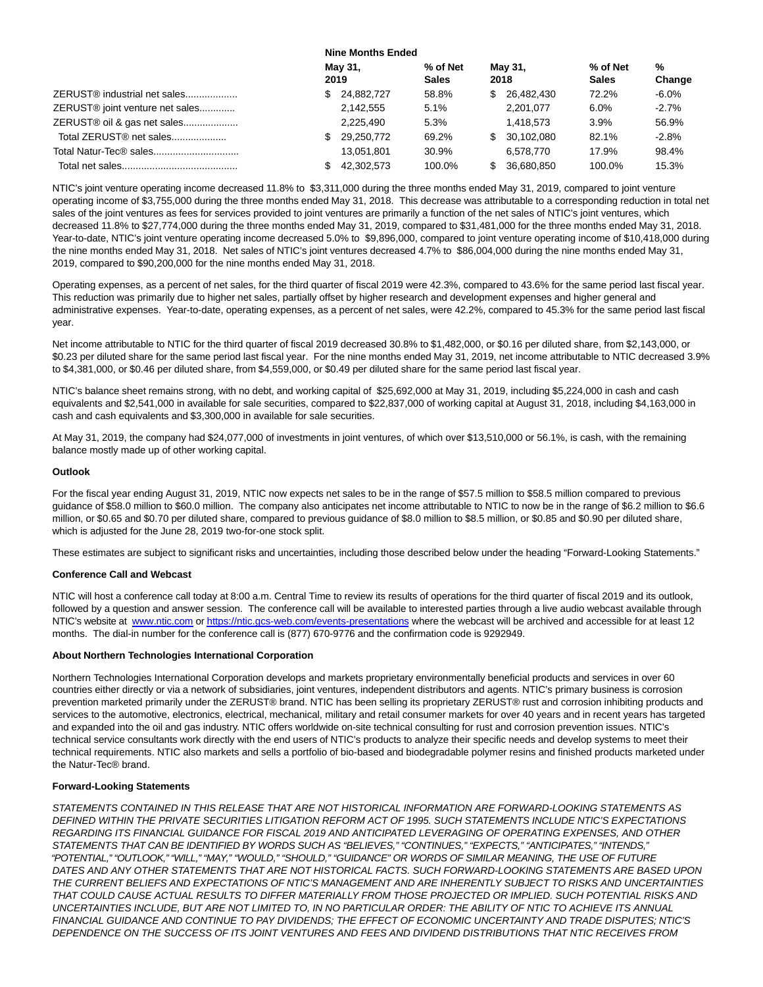|                                             | <b>Nine Months Ended</b> |                 |                          |     |                 |                          |             |
|---------------------------------------------|--------------------------|-----------------|--------------------------|-----|-----------------|--------------------------|-------------|
|                                             |                          | May 31,<br>2019 | % of Net<br><b>Sales</b> |     | May 31,<br>2018 | % of Net<br><b>Sales</b> | %<br>Change |
| ZERUST <sup>®</sup> industrial net sales    | SS.                      | 24.882.727      | 58.8%                    | S.  | 26,482,430      | 72.2%                    | $-6.0\%$    |
| ZERUST <sup>®</sup> joint venture net sales |                          | 2,142,555       | 5.1%                     |     | 2.201.077       | 6.0%                     | $-2.7\%$    |
| ZERUST® oil & gas net sales                 |                          | 2.225.490       | 5.3%                     |     | 1.418.573       | 3.9%                     | 56.9%       |
| Total ZERUST® net sales                     | SS.                      | 29,250,772      | 69.2%                    | S.  | 30.102.080      | 82.1%                    | $-2.8\%$    |
| Total Natur-Tec® sales                      |                          | 13.051.801      | 30.9%                    |     | 6.578.770       | 17.9%                    | 98.4%       |
|                                             |                          | 42.302.573      | 100.0%                   | SS. | 36.680.850      | 100.0%                   | 15.3%       |

NTIC's joint venture operating income decreased 11.8% to \$3,311,000 during the three months ended May 31, 2019, compared to joint venture operating income of \$3,755,000 during the three months ended May 31, 2018. This decrease was attributable to a corresponding reduction in total net sales of the joint ventures as fees for services provided to joint ventures are primarily a function of the net sales of NTIC's joint ventures, which decreased 11.8% to \$27,774,000 during the three months ended May 31, 2019, compared to \$31,481,000 for the three months ended May 31, 2018. Year-to-date, NTIC's joint venture operating income decreased 5.0% to \$9,896,000, compared to joint venture operating income of \$10,418,000 during the nine months ended May 31, 2018. Net sales of NTIC's joint ventures decreased 4.7% to \$86,004,000 during the nine months ended May 31, 2019, compared to \$90,200,000 for the nine months ended May 31, 2018.

Operating expenses, as a percent of net sales, for the third quarter of fiscal 2019 were 42.3%, compared to 43.6% for the same period last fiscal year. This reduction was primarily due to higher net sales, partially offset by higher research and development expenses and higher general and administrative expenses. Year-to-date, operating expenses, as a percent of net sales, were 42.2%, compared to 45.3% for the same period last fiscal year.

Net income attributable to NTIC for the third quarter of fiscal 2019 decreased 30.8% to \$1,482,000, or \$0.16 per diluted share, from \$2,143,000, or \$0.23 per diluted share for the same period last fiscal year. For the nine months ended May 31, 2019, net income attributable to NTIC decreased 3.9% to \$4,381,000, or \$0.46 per diluted share, from \$4,559,000, or \$0.49 per diluted share for the same period last fiscal year.

NTIC's balance sheet remains strong, with no debt, and working capital of \$25,692,000 at May 31, 2019, including \$5,224,000 in cash and cash equivalents and \$2,541,000 in available for sale securities, compared to \$22,837,000 of working capital at August 31, 2018, including \$4,163,000 in cash and cash equivalents and \$3,300,000 in available for sale securities.

At May 31, 2019, the company had \$24,077,000 of investments in joint ventures, of which over \$13,510,000 or 56.1%, is cash, with the remaining balance mostly made up of other working capital.

## **Outlook**

For the fiscal year ending August 31, 2019, NTIC now expects net sales to be in the range of \$57.5 million to \$58.5 million compared to previous guidance of \$58.0 million to \$60.0 million. The company also anticipates net income attributable to NTIC to now be in the range of \$6.2 million to \$6.6 million, or \$0.65 and \$0.70 per diluted share, compared to previous guidance of \$8.0 million to \$8.5 million, or \$0.85 and \$0.90 per diluted share, which is adjusted for the June 28, 2019 two-for-one stock split.

These estimates are subject to significant risks and uncertainties, including those described below under the heading "Forward-Looking Statements."

## **Conference Call and Webcast**

NTIC will host a conference call today at 8:00 a.m. Central Time to review its results of operations for the third quarter of fiscal 2019 and its outlook, followed by a question and answer session. The conference call will be available to interested parties through a live audio webcast available through NTIC's website at [www.ntic.com o](http://www.ntic.com/)[r https://ntic.gcs-web.com/events-presentations w](https://ntic.gcs-web.com/events-presentations)here the webcast will be archived and accessible for at least 12 months. The dial-in number for the conference call is (877) 670-9776 and the confirmation code is 9292949.

## **About Northern Technologies International Corporation**

Northern Technologies International Corporation develops and markets proprietary environmentally beneficial products and services in over 60 countries either directly or via a network of subsidiaries, joint ventures, independent distributors and agents. NTIC's primary business is corrosion prevention marketed primarily under the ZERUST® brand. NTIC has been selling its proprietary ZERUST® rust and corrosion inhibiting products and services to the automotive, electronics, electrical, mechanical, military and retail consumer markets for over 40 years and in recent years has targeted and expanded into the oil and gas industry. NTIC offers worldwide on-site technical consulting for rust and corrosion prevention issues. NTIC's technical service consultants work directly with the end users of NTIC's products to analyze their specific needs and develop systems to meet their technical requirements. NTIC also markets and sells a portfolio of bio-based and biodegradable polymer resins and finished products marketed under the Natur-Tec® brand.

## **Forward-Looking Statements**

STATEMENTS CONTAINED IN THIS RELEASE THAT ARE NOT HISTORICAL INFORMATION ARE FORWARD-LOOKING STATEMENTS AS DEFINED WITHIN THE PRIVATE SECURITIES LITIGATION REFORM ACT OF 1995. SUCH STATEMENTS INCLUDE NTIC'S EXPECTATIONS REGARDING ITS FINANCIAL GUIDANCE FOR FISCAL 2019 AND ANTICIPATED LEVERAGING OF OPERATING EXPENSES, AND OTHER STATEMENTS THAT CAN BE IDENTIFIED BY WORDS SUCH AS "BELIEVES," "CONTINUES," "EXPECTS," "ANTICIPATES," "INTENDS," "POTENTIAL," "OUTLOOK," "WILL," "MAY," "WOULD," "SHOULD," "GUIDANCE" OR WORDS OF SIMILAR MEANING, THE USE OF FUTURE DATES AND ANY OTHER STATEMENTS THAT ARE NOT HISTORICAL FACTS. SUCH FORWARD-LOOKING STATEMENTS ARE BASED UPON THE CURRENT BELIEFS AND EXPECTATIONS OF NTIC'S MANAGEMENT AND ARE INHERENTLY SUBJECT TO RISKS AND UNCERTAINTIES THAT COULD CAUSE ACTUAL RESULTS TO DIFFER MATERIALLY FROM THOSE PROJECTED OR IMPLIED. SUCH POTENTIAL RISKS AND UNCERTAINTIES INCLUDE, BUT ARE NOT LIMITED TO, IN NO PARTICULAR ORDER: THE ABILITY OF NTIC TO ACHIEVE ITS ANNUAL FINANCIAL GUIDANCE AND CONTINUE TO PAY DIVIDENDS; THE EFFECT OF ECONOMIC UNCERTAINTY AND TRADE DISPUTES; NTIC'S DEPENDENCE ON THE SUCCESS OF ITS JOINT VENTURES AND FEES AND DIVIDEND DISTRIBUTIONS THAT NTIC RECEIVES FROM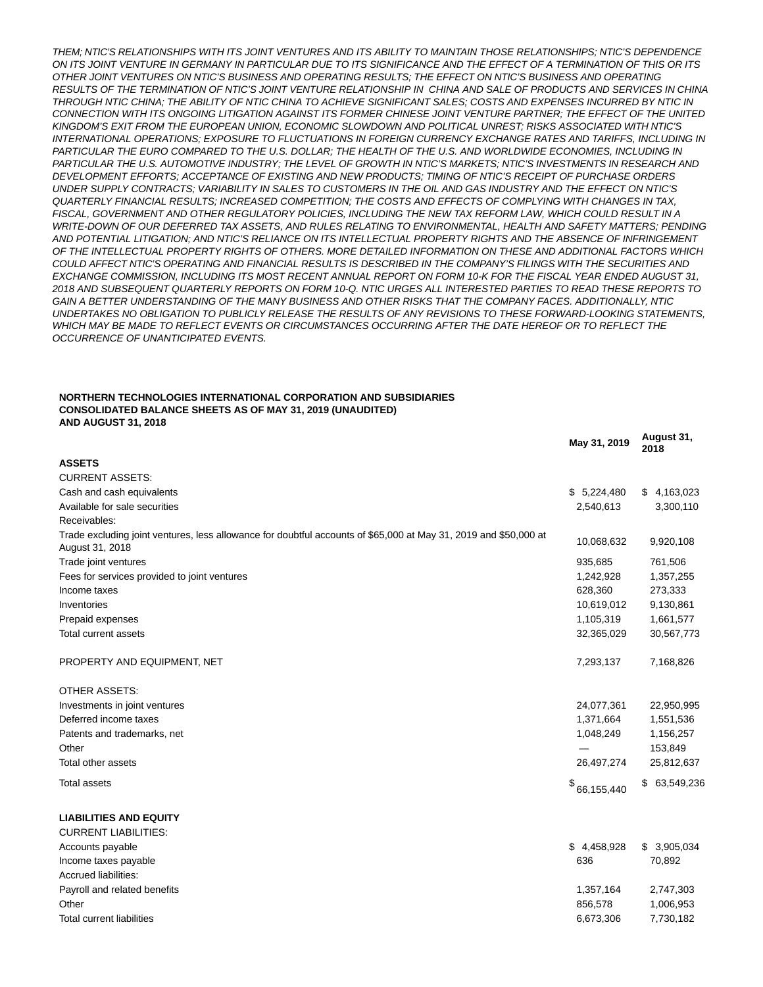THEM; NTIC'S RELATIONSHIPS WITH ITS JOINT VENTURES AND ITS ABILITY TO MAINTAIN THOSE RELATIONSHIPS; NTIC'S DEPENDENCE ON ITS JOINT VENTURE IN GERMANY IN PARTICULAR DUE TO ITS SIGNIFICANCE AND THE EFFECT OF A TERMINATION OF THIS OR ITS OTHER JOINT VENTURES ON NTIC'S BUSINESS AND OPERATING RESULTS; THE EFFECT ON NTIC'S BUSINESS AND OPERATING RESULTS OF THE TERMINATION OF NTIC'S JOINT VENTURE RELATIONSHIP IN CHINA AND SALE OF PRODUCTS AND SERVICES IN CHINA THROUGH NTIC CHINA; THE ABILITY OF NTIC CHINA TO ACHIEVE SIGNIFICANT SALES; COSTS AND EXPENSES INCURRED BY NTIC IN CONNECTION WITH ITS ONGOING LITIGATION AGAINST ITS FORMER CHINESE JOINT VENTURE PARTNER; THE EFFECT OF THE UNITED KINGDOM'S EXIT FROM THE EUROPEAN UNION, ECONOMIC SLOWDOWN AND POLITICAL UNREST; RISKS ASSOCIATED WITH NTIC'S INTERNATIONAL OPERATIONS; EXPOSURE TO FLUCTUATIONS IN FOREIGN CURRENCY EXCHANGE RATES AND TARIFFS, INCLUDING IN PARTICULAR THE EURO COMPARED TO THE U.S. DOLLAR; THE HEALTH OF THE U.S. AND WORLDWIDE ECONOMIES, INCLUDING IN PARTICULAR THE U.S. AUTOMOTIVE INDUSTRY; THE LEVEL OF GROWTH IN NTIC'S MARKETS; NTIC'S INVESTMENTS IN RESEARCH AND DEVELOPMENT EFFORTS; ACCEPTANCE OF EXISTING AND NEW PRODUCTS; TIMING OF NTIC'S RECEIPT OF PURCHASE ORDERS UNDER SUPPLY CONTRACTS; VARIABILITY IN SALES TO CUSTOMERS IN THE OIL AND GAS INDUSTRY AND THE EFFECT ON NTIC'S QUARTERLY FINANCIAL RESULTS; INCREASED COMPETITION; THE COSTS AND EFFECTS OF COMPLYING WITH CHANGES IN TAX, FISCAL, GOVERNMENT AND OTHER REGULATORY POLICIES, INCLUDING THE NEW TAX REFORM LAW, WHICH COULD RESULT IN A WRITE-DOWN OF OUR DEFERRED TAX ASSETS, AND RULES RELATING TO ENVIRONMENTAL, HEALTH AND SAFETY MATTERS; PENDING AND POTENTIAL LITIGATION; AND NTIC'S RELIANCE ON ITS INTELLECTUAL PROPERTY RIGHTS AND THE ABSENCE OF INFRINGEMENT OF THE INTELLECTUAL PROPERTY RIGHTS OF OTHERS. MORE DETAILED INFORMATION ON THESE AND ADDITIONAL FACTORS WHICH COULD AFFECT NTIC'S OPERATING AND FINANCIAL RESULTS IS DESCRIBED IN THE COMPANY'S FILINGS WITH THE SECURITIES AND EXCHANGE COMMISSION, INCLUDING ITS MOST RECENT ANNUAL REPORT ON FORM 10-K FOR THE FISCAL YEAR ENDED AUGUST 31, 2018 AND SUBSEQUENT QUARTERLY REPORTS ON FORM 10-Q. NTIC URGES ALL INTERESTED PARTIES TO READ THESE REPORTS TO GAIN A BETTER UNDERSTANDING OF THE MANY BUSINESS AND OTHER RISKS THAT THE COMPANY FACES. ADDITIONALLY, NTIC UNDERTAKES NO OBLIGATION TO PUBLICLY RELEASE THE RESULTS OF ANY REVISIONS TO THESE FORWARD-LOOKING STATEMENTS, WHICH MAY BE MADE TO REFLECT EVENTS OR CIRCUMSTANCES OCCURRING AFTER THE DATE HEREOF OR TO REFLECT THE OCCURRENCE OF UNANTICIPATED EVENTS.

#### **NORTHERN TECHNOLOGIES INTERNATIONAL CORPORATION AND SUBSIDIARIES CONSOLIDATED BALANCE SHEETS AS OF MAY 31, 2019 (UNAUDITED) AND AUGUST 31, 2018**

|                                                                                                                                     | May 31, 2019 | August 31,<br>2018 |
|-------------------------------------------------------------------------------------------------------------------------------------|--------------|--------------------|
| <b>ASSETS</b>                                                                                                                       |              |                    |
| <b>CURRENT ASSETS:</b>                                                                                                              |              |                    |
| Cash and cash equivalents                                                                                                           | \$5,224,480  | \$4,163,023        |
| Available for sale securities                                                                                                       | 2,540,613    | 3,300,110          |
| Receivables:                                                                                                                        |              |                    |
| Trade excluding joint ventures, less allowance for doubtful accounts of \$65,000 at May 31, 2019 and \$50,000 at<br>August 31, 2018 | 10,068,632   | 9,920,108          |
| Trade joint ventures                                                                                                                | 935,685      | 761,506            |
| Fees for services provided to joint ventures                                                                                        | 1,242,928    | 1,357,255          |
| Income taxes                                                                                                                        | 628,360      | 273,333            |
| Inventories                                                                                                                         | 10,619,012   | 9,130,861          |
| Prepaid expenses                                                                                                                    | 1,105,319    | 1,661,577          |
| Total current assets                                                                                                                | 32,365,029   | 30,567,773         |
| PROPERTY AND EQUIPMENT, NET                                                                                                         | 7,293,137    | 7,168,826          |
| <b>OTHER ASSETS:</b>                                                                                                                |              |                    |
| Investments in joint ventures                                                                                                       | 24,077,361   | 22,950,995         |
| Deferred income taxes                                                                                                               | 1,371,664    | 1,551,536          |
| Patents and trademarks, net                                                                                                         | 1,048,249    | 1,156,257          |
| Other                                                                                                                               |              | 153,849            |
| Total other assets                                                                                                                  | 26,497,274   | 25,812,637         |
| <b>Total assets</b>                                                                                                                 | \$66,155,440 | \$ 63,549,236      |
| <b>LIABILITIES AND EQUITY</b>                                                                                                       |              |                    |
| <b>CURRENT LIABILITIES:</b>                                                                                                         |              |                    |
| Accounts payable                                                                                                                    | \$4,458,928  | \$3,905,034        |
| Income taxes payable                                                                                                                | 636          | 70,892             |
| Accrued liabilities:                                                                                                                |              |                    |
| Payroll and related benefits                                                                                                        | 1,357,164    | 2,747,303          |
| Other                                                                                                                               | 856,578      | 1,006,953          |
| <b>Total current liabilities</b>                                                                                                    | 6,673,306    | 7,730,182          |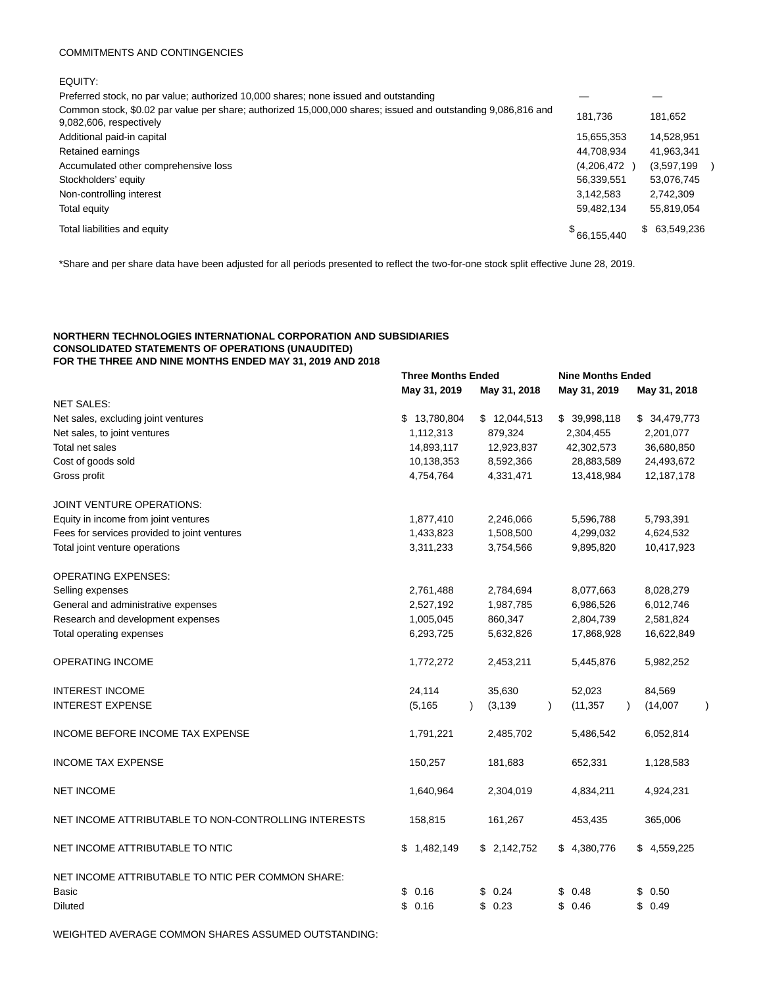#### COMMITMENTS AND CONTINGENCIES

| ۰, |  |
|----|--|

Preferred stock, no par value; authorized 10,000 shares; none issued and outstanding — — Common stock, \$0.02 par value per share; authorized 15,000,000 shares; issued and outstanding 9,086,816 and 9,082,606, respectively 181,736 181,652 Additional paid-in capital 15,655,353 14,528,951 Retained earnings 14,708,934 41,963,341 Accumulated other comprehensive loss (4,206,472 ) (3,597,199 ) Stockholders' equity 56,339,551 53,076,745 Non-controlling interest 2,742,309 Total equity 59,482,134 55,819,054 Total liabilities and equity \$  $$66,155,440$   $$63,549,236$ 

**Three Months Ended Nine Months Ended**

\*Share and per share data have been adjusted for all periods presented to reflect the two-for-one stock split effective June 28, 2019.

## **NORTHERN TECHNOLOGIES INTERNATIONAL CORPORATION AND SUBSIDIARIES CONSOLIDATED STATEMENTS OF OPERATIONS (UNAUDITED) FOR THE THREE AND NINE MONTHS ENDED MAY 31, 2019 AND 2018**

|                                                                              | May 31, 2019         | May 31, 2018         | May 31, 2019           | May 31, 2018     |
|------------------------------------------------------------------------------|----------------------|----------------------|------------------------|------------------|
| <b>NET SALES:</b>                                                            |                      |                      |                        |                  |
| Net sales, excluding joint ventures                                          | \$13,780,804         | \$12,044,513         | \$39,998,118           | \$34,479,773     |
| Net sales, to joint ventures                                                 | 1,112,313            | 879,324              | 2,304,455              | 2,201,077        |
| Total net sales                                                              | 14,893,117           | 12,923,837           | 42,302,573             | 36,680,850       |
| Cost of goods sold                                                           | 10,138,353           | 8,592,366            | 28,883,589             | 24,493,672       |
| Gross profit                                                                 | 4,754,764            | 4,331,471            | 13,418,984             | 12,187,178       |
| JOINT VENTURE OPERATIONS:                                                    |                      |                      |                        |                  |
| Equity in income from joint ventures                                         | 1,877,410            | 2,246,066            | 5,596,788              | 5,793,391        |
| Fees for services provided to joint ventures                                 | 1,433,823            | 1,508,500            | 4,299,032              | 4,624,532        |
| Total joint venture operations                                               | 3,311,233            | 3,754,566            | 9,895,820              | 10,417,923       |
| <b>OPERATING EXPENSES:</b>                                                   |                      |                      |                        |                  |
| Selling expenses                                                             | 2,761,488            | 2,784,694            | 8,077,663              | 8,028,279        |
| General and administrative expenses                                          | 2,527,192            | 1,987,785            | 6,986,526              | 6,012,746        |
| Research and development expenses                                            | 1,005,045            | 860,347              | 2,804,739              | 2,581,824        |
| Total operating expenses                                                     | 6,293,725            | 5,632,826            | 17,868,928             | 16,622,849       |
| OPERATING INCOME                                                             | 1,772,272            | 2,453,211            | 5,445,876              | 5,982,252        |
| <b>INTEREST INCOME</b>                                                       | 24,114               | 35,630               | 52,023                 | 84,569           |
| <b>INTEREST EXPENSE</b>                                                      | (5, 165)             | (3, 139)             | (11, 357)<br>$\lambda$ | (14,007)         |
| INCOME BEFORE INCOME TAX EXPENSE                                             | 1,791,221            | 2,485,702            | 5,486,542              | 6,052,814        |
| <b>INCOME TAX EXPENSE</b>                                                    | 150,257              | 181,683              | 652,331                | 1,128,583        |
| <b>NET INCOME</b>                                                            | 1,640,964            | 2,304,019            | 4,834,211              | 4,924,231        |
| NET INCOME ATTRIBUTABLE TO NON-CONTROLLING INTERESTS                         | 158,815              | 161,267              | 453,435                | 365,006          |
| NET INCOME ATTRIBUTABLE TO NTIC                                              | 1,482,149<br>\$      | \$2,142,752          | \$4,380,776            | \$4,559,225      |
| NET INCOME ATTRIBUTABLE TO NTIC PER COMMON SHARE:<br>Basic<br><b>Diluted</b> | \$0.16<br>\$<br>0.16 | \$0.24<br>0.23<br>\$ | \$0.48<br>\$0.46       | \$0.50<br>\$0.49 |
|                                                                              |                      |                      |                        |                  |

WEIGHTED AVERAGE COMMON SHARES ASSUMED OUTSTANDING: